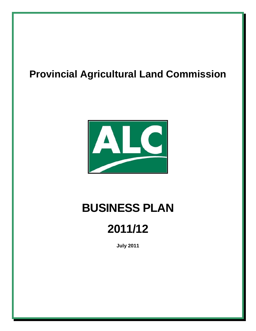## **Provincial Agricultural Land Commission**



# **BUSINESS PLAN**

# **2011/12**

**July 2011**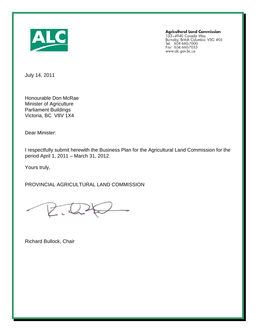

**Agricultural Land Commission** 

133–4940 Canada Way<br>Burnaby, British Columbia V5G 4K6<br>Tel: 604 660-7000<br>Fax: 604 660-7033 www.alc.gov.bc.ca

July 14, 2011

Honourable Don McRae Minister of Agriculture Parliament Buildings Victoria, BC V8V 1X4

Dear Minister:

I respectfully submit herewith the Business Plan for the Agricultural Land Commission for the period April 1, 2011 – March 31, 2012.

Yours truly,

PROVINCIAL AGRICULTURAL LAND COMMISSION

K.L.

Richard Bullock, Chair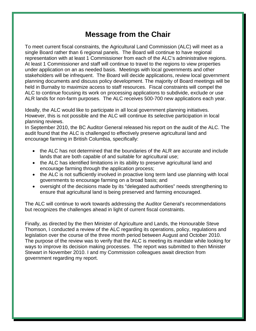### **Message from the Chair**

To meet current fiscal constraints, the Agricultural Land Commission (ALC) will meet as a single Board rather than 6 regional panels. The Board will continue to have regional representation with at least 1 Commissioner from each of the ALC's administrative regions. At least 1 Commissioner and staff will continue to travel to the regions to view properties under application on an as needed basis. Meetings with local governments and other stakeholders will be infrequent. The Board will decide applications, review local government planning documents and discuss policy development. The majority of Board meetings will be held in Burnaby to maximize access to staff resources. Fiscal constraints will compel the ALC to continue focusing its work on processing applications to subdivide, exclude or use ALR lands for non-farm purposes. The ALC receives 500-700 new applications each year.

Ideally, the ALC would like to participate in all local government planning initiatives. However, this is not possible and the ALC will continue its selective participation in local planning reviews.

In September 2010, the BC Auditor General released his report on the audit of the ALC. The audit found that the ALC is challenged to effectively preserve agricultural land and encourage farming in British Columbia, specifically:

- the ALC has not determined that the boundaries of the ALR are accurate and include lands that are both capable of and suitable for agricultural use;
- the ALC has identified limitations in its ability to preserve agricultural land and encourage farming through the application process;
- the ALC is not sufficiently involved in proactive long term land use planning with local governments to encourage farming on a broad basis; and
- oversight of the decisions made by its "delegated authorities" needs strengthening to ensure that agricultural land is being preserved and farming encouraged.

The ALC will continue to work towards addressing the Auditor General's recommendations but recognizes the challenges ahead in light of current fiscal constraints.

Finally, as directed by the then Minister of Agriculture and Lands, the Honourable Steve Thomson, I conducted a review of the ALC regarding its operations, policy, regulations and legislation over the course of the three month period between August and October 2010. The purpose of the review was to verify that the ALC is meeting its mandate while looking for ways to improve its decision making processes. The report was submitted to then Minister Stewart in November 2010. I and my Commission colleagues await direction from government regarding my report.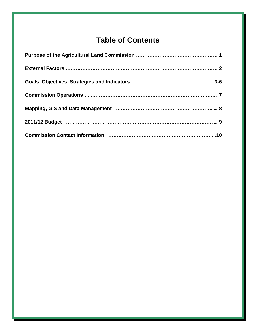### **Table of Contents**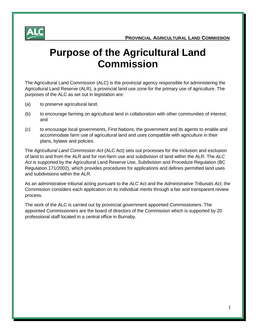

### **Purpose of the Agricultural Land Commission**

The Agricultural Land Commission (ALC) is the provincial agency responsible for administering the Agricultural Land Reserve (ALR), a provincial land use zone for the primary use of agriculture. The purposes of the ALC as set out in legislation are:

- (a) to preserve agricultural land;
- (b) to encourage farming on agricultural land in collaboration with other communities of interest; and
- (c) to encourage local governments, First Nations, the government and its agents to enable and accommodate farm use of agricultural land and uses compatible with agriculture in their plans, bylaws and policies.

The *Agricultural Land Commission Act* (ALC Act) sets out processes for the inclusion and exclusion of land to and from the ALR and for non-farm use and subdivision of land within the ALR. The *ALC Act* is supported by the Agricultural Land Reserve Use, Subdivision and Procedure Regulation (BC Regulation 171/2002), which provides procedures for applications and defines permitted land uses and subdivisions within the ALR.

As an administrative tribunal acting pursuant to the *ALC* Act and the *Administrative Tribunals Act*, the Commission considers each application on its individual merits through a fair and transparent review process.

The work of the ALC is carried out by provincial government appointed Commissioners. The appointed Commissioners are the board of directors of the Commission which is supported by 20 professional staff located in a central office in Burnaby.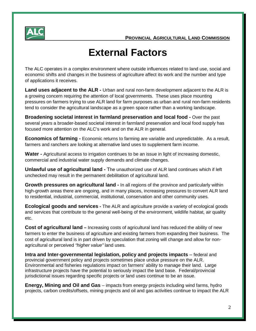

### **External Factors**

The ALC operates in a complex environment where outside influences related to land use, social and economic shifts and changes in the business of agriculture affect its work and the number and type of applications it receives.

**Land uses adjacent to the ALR -** Urban and rural non-farm development adjacent to the ALR is a growing concern requiring the attention of local governments. These uses place mounting pressures on farmers trying to use ALR land for farm purposes as urban and rural non-farm residents tend to consider the agricultural landscape as a green space rather than a working landscape.

**Broadening societal interest in farmland preservation and local food -** Over the past several years a broader-based societal interest in farmland preservation and local food supply has focused more attention on the ALC's work and on the ALR in general.

**Economics of farming -** Economic returns to farming are variable and unpredictable. As a result, farmers and ranchers are looking at alternative land uses to supplement farm income.

**Water -** Agricultural access to irrigation continues to be an issue in light of increasing domestic, commercial and industrial water supply demands and climate changes.

**Unlawful use of agricultural land -** The unauthorized use of ALR land continues which if left unchecked may result in the permanent debilitation of agricultural land.

**Growth pressures on agricultural land -** In all regions of the province and particularly within high-growth areas there are ongoing, and in many places, increasing pressures to convert ALR land to residential, industrial, commercial, institutional, conservation and other community uses.

**Ecological goods and services -** The ALR and agriculture provide a variety of ecological goods and services that contribute to the general well-being of the environment, wildlife habitat, air quality etc.

**Cost of agricultural land** – Increasing costs of agricultural land has reduced the ability of new farmers to enter the business of agriculture and existing farmers from expanding their business. The cost of agricultural land is in part driven by speculation that zoning will change and allow for nonagricultural or perceived *"higher value"* land uses.

**Intra and Inter-governmental legislation, policy and projects impacts** – federal and provincial government policy and projects sometimes place undue pressure on the ALR. Environmental and fisheries regulations impact on farmers' ability to manage their land. Large infrastructure projects have the potential to seriously impact the land base. Federal/provincial jurisdictional issues regarding specific projects or land uses continue to be an issue.

**Energy, Mining and Oil and Gas** – impacts from energy projects including wind farms, hydro projects, carbon credits/offsets, mining projects and oil and gas activities continue to impact the ALR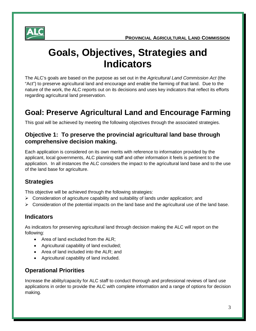

### **Goals, Objectives, Strategies and Indicators**

The ALC's goals are based on the purpose as set out in the *Agricultural Land Commission Act* (the "Act") to preserve agricultural land and encourage and enable the farming of that land. Due to the nature of the work, the ALC reports out on its decisions and uses key indicators that reflect its efforts regarding agricultural land preservation.

### **Goal: Preserve Agricultural Land and Encourage Farming**

This goal will be achieved by meeting the following objectives through the associated strategies.

#### **Objective 1: To preserve the provincial agricultural land base through comprehensive decision making.**

Each application is considered on its own merits with reference to information provided by the applicant, local governments, ALC planning staff and other information it feels is pertinent to the application. In all instances the ALC considers the impact to the agricultural land base and to the use of the land base for agriculture.

#### **Strategies**

This objective will be achieved through the following strategies:

- $\triangleright$  Consideration of agriculture capability and suitability of lands under application; and
- $\triangleright$  Consideration of the potential impacts on the land base and the agricultural use of the land base.

#### **Indicators**

As indicators for preserving agricultural land through decision making the ALC will report on the following:

- Area of land excluded from the ALR;
- Agricultural capability of land excluded;
- Area of land included into the ALR; and
- Agricultural capability of land included.

#### **Operational Priorities**

Increase the ability/capacity for ALC staff to conduct thorough and professional reviews of land use applications in order to provide the ALC with complete information and a range of options for decision making.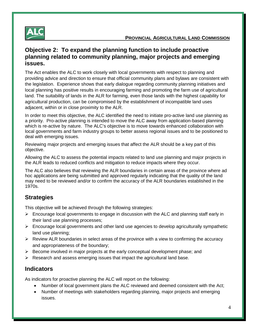

#### **Objective 2: To expand the planning function to include proactive planning related to community planning, major projects and emerging issues.**

The Act enables the ALC to work closely with local governments with respect to planning and providing advice and direction to ensure that official community plans and bylaws are consistent with the legislation. Experience shows that early dialogue regarding community planning initiatives and local planning has positive results in encouraging farming and promoting the farm use of agricultural land. The suitability of lands in the ALR for farming, even those lands with the highest capability for agricultural production, can be compromised by the establishment of incompatible land uses adjacent, within or in close proximity to the ALR.

In order to meet this objective, the ALC identified the need to initiate pro-active land use planning as a priority. Pro-active planning is intended to move the ALC away from application-based planning which is re-active by nature. The ALC's objective is to move towards enhanced collaboration with local governments and farm industry groups to better assess regional issues and to be positioned to deal with emerging issues.

Reviewing major projects and emerging issues that affect the ALR should be a key part of this objective.

Allowing the ALC to assess the potential impacts related to land use planning and major projects in the ALR leads to reduced conflicts and mitigation to reduce impacts where they occur.

The ALC also believes that reviewing the ALR boundaries in certain areas of the province where ad hoc applications are being submitted and approved regularly indicating that the quality of the land may need to be reviewed and/or to confirm the accuracy of the ALR boundaries established in the 1970s.

#### **Strategies**

This objective will be achieved through the following strategies:

- $\triangleright$  Encourage local governments to engage in discussion with the ALC and planning staff early in their land use planning processes;
- $\triangleright$  Encourage local governments and other land use agencies to develop agriculturally sympathetic land use planning;
- $\triangleright$  Review ALR boundaries in select areas of the province with a view to confirming the accuracy and appropriateness of the boundary;
- $\triangleright$  Become involved in major projects at the early conceptual development phase; and
- $\triangleright$  Research and assess emerging issues that impact the agricultural land base.

#### **Indicators**

As indicators for proactive planning the ALC will report on the following:

- Number of local government plans the ALC reviewed and deemed consistent with the Act;
- Number of meetings with stakeholders regarding planning, major projects and emerging issues.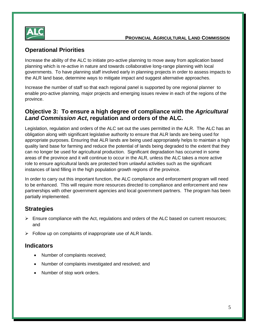

#### **Operational Priorities**

Increase the ability of the ALC to initiate pro-active planning to move away from application based planning which is re-active in nature and towards collaborative long-range planning with local governments. To have planning staff involved early in planning projects in order to assess impacts to the ALR land base, determine ways to mitigate impact and suggest alternative approaches.

Increase the number of staff so that each regional panel is supported by one regional planner to enable pro-active planning, major projects and emerging issues review in each of the regions of the province.

#### **Objective 3: To ensure a high degree of compliance with the** *Agricultural Land Commission Act***, regulation and orders of the ALC.**

Legislation, regulation and orders of the ALC set out the uses permitted in the ALR. The ALC has an obligation along with significant legislative authority to ensure that ALR lands are being used for appropriate purposes. Ensuring that ALR lands are being used appropriately helps to maintain a high quality land base for farming and reduce the potential of lands being degraded to the extent that they can no longer be used for agricultural production. Significant degradation has occurred in some areas of the province and it will continue to occur in the ALR, unless the ALC takes a more active role to ensure agricultural lands are protected from unlawful activities such as the significant instances of land filling in the high population growth regions of the province.

In order to carry out this important function, the ALC compliance and enforcement program will need to be enhanced. This will require more resources directed to compliance and enforcement and new partnerships with other government agencies and local government partners. The program has been partially implemented.

#### **Strategies**

- $\triangleright$  Ensure compliance with the Act, regulations and orders of the ALC based on current resources; and
- $\triangleright$  Follow up on complaints of inappropriate use of ALR lands.

#### **Indicators**

- Number of complaints received;
- Number of complaints investigated and resolved; and
- Number of stop work orders.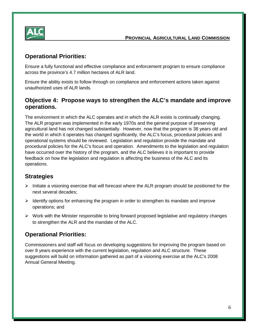

#### **Operational Priorities:**

Ensure a fully functional and effective compliance and enforcement program to ensure compliance across the province's 4.7 million hectares of ALR land.

Ensure the ability exists to follow through on compliance and enforcement actions taken against unauthorized uses of ALR lands.

#### **Objective 4: Propose ways to strengthen the ALC's mandate and improve operations.**

The environment in which the ALC operates and in which the ALR exists is continually changing. The ALR program was implemented in the early 1970s and the general purpose of preserving agricultural land has not changed substantially. However, now that the program is 38 years old and the world in which it operates has changed significantly, the ALC's focus, procedural policies and operational systems should be reviewed. Legislation and regulation provide the mandate and procedural policies for the ALC's focus and operation. Amendments to the legislation and regulation have occurred over the history of the program, and the ALC believes it is important to provide feedback on how the legislation and regulation is affecting the business of the ALC and its operations.

#### **Strategies**

- $\triangleright$  Initiate a visioning exercise that will forecast where the ALR program should be positioned for the next several decades;
- $\triangleright$  Identify options for enhancing the program in order to strengthen its mandate and improve operations; and
- $\triangleright$  Work with the Minister responsible to bring forward proposed legislative and regulatory changes to strengthen the ALR and the mandate of the ALC.

#### **Operational Priorities:**

Commissioners and staff will focus on developing suggestions for improving the program based on over 8 years experience with the current legislation, regulation and ALC structure. These suggestions will build on information gathered as part of a visioning exercise at the ALC's 2008 Annual General Meeting.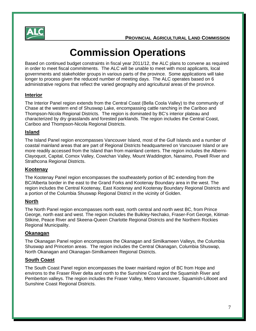

## **Commission Operations**

Based on continued budget constraints in fiscal year 2011/12, the ALC plans to convene as required in order to meet fiscal commitments. The ALC will be unable to meet with most applicants, local governments and stakeholder groups in various parts of the province. Some applications will take longer to process given the reduced number of meeting days. The ALC operates based on 6 administrative regions that reflect the varied geography and agricultural areas of the province.

#### **Interior**

The Interior Panel region extends from the Central Coast (Bella Coola Valley) to the community of Chase at the western end of Shuswap Lake, encompassing cattle ranching in the Cariboo and Thompson-Nicola Regional Districts. The region is dominated by BC's interior plateau and characterized by dry grasslands and forested parklands. The region includes the Central Coast, Cariboo and Thompson-Nicola Regional Districts.

#### **Island**

The Island Panel region encompasses Vancouver Island, most of the Gulf Islands and a number of coastal mainland areas that are part of Regional Districts headquartered on Vancouver Island or are more readily accessed from the Island than from mainland centers. The region includes the Alberni-Clayoquot, Capital, Comox Valley, Cowichan Valley, Mount Waddington, Nanaimo, Powell River and Strathcona Regional Districts.

#### **Kootenay**

The Kootenay Panel region encompasses the southeasterly portion of BC extending from the BC/Alberta border in the east to the Grand Forks and Kootenay Boundary area in the west. The region includes the Central Kootenay, East Kootenay and Kootenay Boundary Regional Districts and a portion of the Columbia Shuswap Regional District in the vicinity of Golden.

#### **North**

The North Panel region encompasses north east, north central and north west BC, from Prince George, north east and west. The region includes the Bulkley-Nechako, Fraser-Fort George, Kitimat-Stikine, Peace River and Skeena-Queen Charlotte Regional Districts and the Northern Rockies Regional Municipality.

#### **Okanagan**

The Okanagan Panel region encompasses the Okanagan and Similkameen Valleys, the Columbia Shuswap and Princeton areas. The region includes the Central Okanagan, Columbia Shuswap, North Okanagan and Okanagan-Similkameen Regional Districts.

#### **South Coast**

The South Coast Panel region encompasses the lower mainland region of BC from Hope and environs to the Fraser River delta and north to the Sunshine Coast and the Squamish River and Pemberton valleys. The region includes the Fraser Valley, Metro Vancouver, Squamish-Lillooet and Sunshine Coast Regional Districts.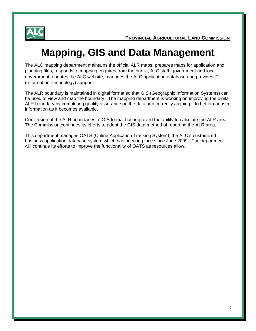

### **Mapping, GIS and Data Management**

The ALC mapping department maintains the official ALR maps, prepares maps for application and planning files, responds to mapping enquires from the public, ALC staff, government and local government, updates the ALC website, manages the ALC application database and provides IT (Information Technology) support.

The ALR boundary is maintained in digital format so that GIS (Geographic Information Systems) can be used to view and map the boundary. The mapping department is working on improving the digital ALR boundary by completing quality assurance on the data and correctly aligning it to better cadastre information as it becomes available.

Conversion of the ALR boundaries to GIS format has improved the ability to calculate the ALR area. The Commission continues its efforts to adopt the GIS data method of reporting the ALR area.

This department manages OATS (Online Application Tracking System), the ALC's customized business application database system which has been in place since June 2009. The department will continue its efforts to improve the functionality of OATS as resources allow.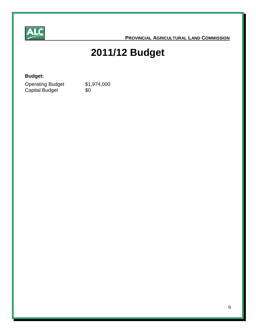

 **PROVINCIAL AGRICULTURAL LAND COMMISSION**

## **2011/12 Budget**

#### **Budget:**

| <b>Operating Budget</b> | \$1,974,000 |
|-------------------------|-------------|
| Capital Budget          | \$0         |